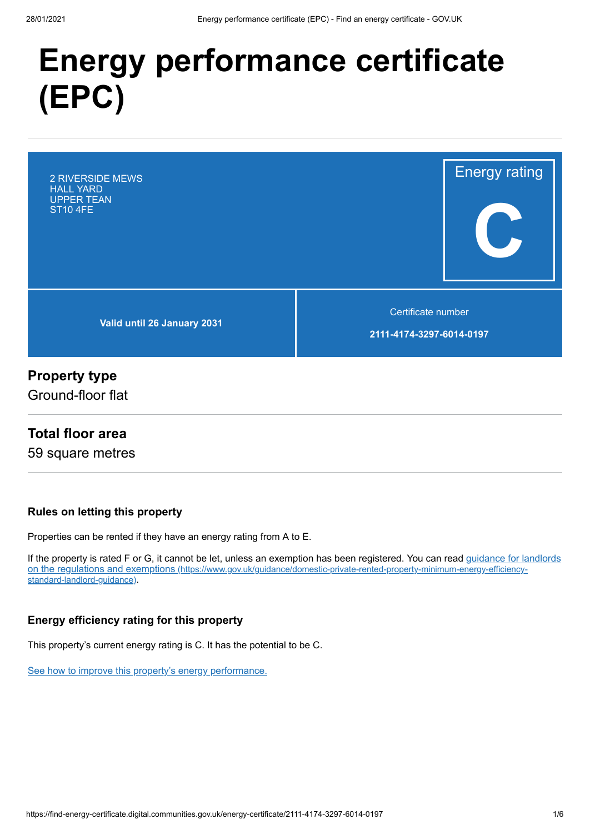# **Energy performance certificate (EPC)**

**Valid until 26 January 2031** 2 RIVERSIDE MEWS HALL YARD UPPER TEAN ST10 4FE

Certificate number

Energy rating

**C**

**2111-4174-3297-6014-0197**

## **Property type**

Ground-floor flat

## **Total floor area**

59 square metres

#### **Rules on letting this property**

Properties can be rented if they have an energy rating from A to E.

[If the property is rated F or G, it cannot be let, unless an exemption has been registered. You can read guidance for landlords](https://www.gov.uk/guidance/domestic-private-rented-property-minimum-energy-efficiency-standard-landlord-guidance) on the regulations and exemptions (https://www.gov.uk/guidance/domestic-private-rented-property-minimum-energy-efficiencystandard-landlord-guidance).

#### **Energy efficiency rating for this property**

This property's current energy rating is C. It has the potential to be C.

[See how to improve this property's energy performance.](#page-3-0)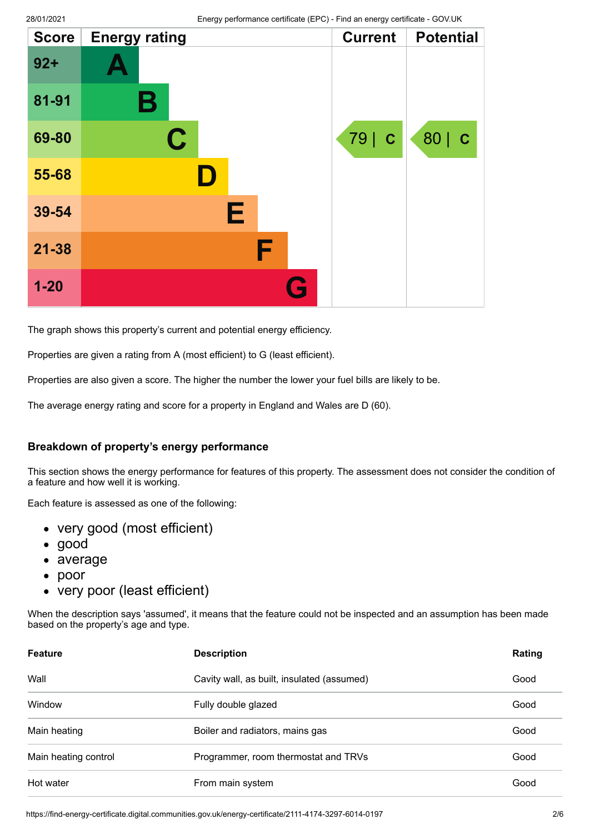| <b>Score</b> | <b>Energy rating</b> |   | <b>Current</b><br><b>Potential</b> |  |
|--------------|----------------------|---|------------------------------------|--|
| $92 +$       |                      |   |                                    |  |
| 81-91        | Β                    |   |                                    |  |
| 69-80        | $\mathbf C$          |   | 79   C<br>80   C                   |  |
| 55-68        |                      |   |                                    |  |
| 39-54        | Е                    |   |                                    |  |
| $21 - 38$    | F                    |   |                                    |  |
| $1 - 20$     |                      | G |                                    |  |

The graph shows this property's current and potential energy efficiency.

Properties are given a rating from A (most efficient) to G (least efficient).

Properties are also given a score. The higher the number the lower your fuel bills are likely to be.

The average energy rating and score for a property in England and Wales are D (60).

#### **Breakdown of property's energy performance**

This section shows the energy performance for features of this property. The assessment does not consider the condition of a feature and how well it is working.

Each feature is assessed as one of the following:

- very good (most efficient)
- good
- average
- $\bullet$ poor
- very poor (least efficient)

When the description says 'assumed', it means that the feature could not be inspected and an assumption has been made based on the property's age and type.

| <b>Feature</b>       | <b>Description</b>                         | Rating |
|----------------------|--------------------------------------------|--------|
| Wall                 | Cavity wall, as built, insulated (assumed) | Good   |
| Window               | Fully double glazed                        | Good   |
| Main heating         | Boiler and radiators, mains gas            | Good   |
| Main heating control | Programmer, room thermostat and TRVs       | Good   |
| Hot water            | From main system                           | Good   |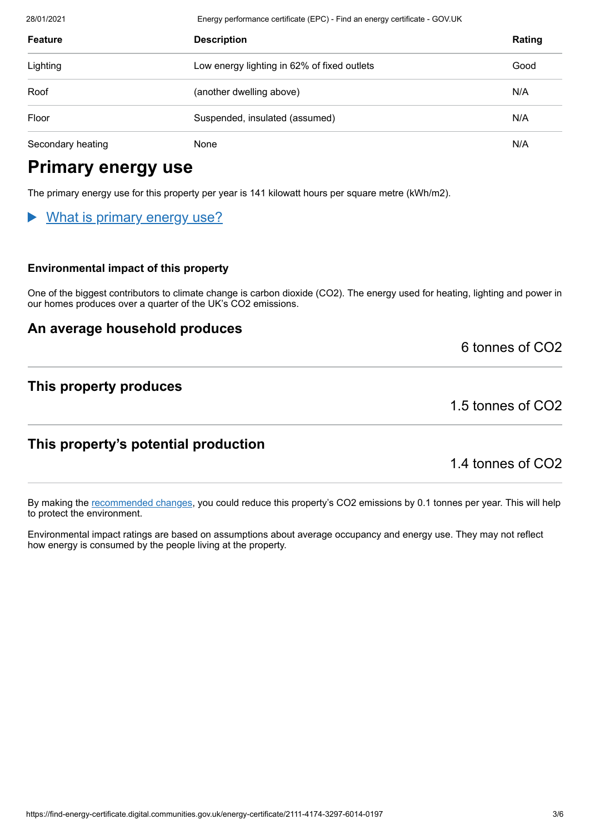| <b>Feature</b>    | <b>Description</b>                          | Rating |
|-------------------|---------------------------------------------|--------|
| Lighting          | Low energy lighting in 62% of fixed outlets | Good   |
| Roof              | (another dwelling above)                    | N/A    |
| Floor             | Suspended, insulated (assumed)              | N/A    |
| Secondary heating | None                                        | N/A    |

# **Primary energy use**

The primary energy use for this property per year is 141 kilowatt hours per square metre (kWh/m2).

28/01/2021 Energy performance certificate (EPC) - Find an energy certificate - GOV.UK

## What is primary energy use?

#### **Environmental impact of this property**

One of the biggest contributors to climate change is carbon dioxide (CO2). The energy used for heating, lighting and power in our homes produces over a quarter of the UK's CO2 emissions.

#### **An average household produces**

6 tonnes of CO2

## **This property produces**

1.5 tonnes of CO2

## **This property's potential production**

1.4 tonnes of CO2

By making the [recommended changes](#page-3-0), you could reduce this property's CO2 emissions by 0.1 tonnes per year. This will help to protect the environment.

Environmental impact ratings are based on assumptions about average occupancy and energy use. They may not reflect how energy is consumed by the people living at the property.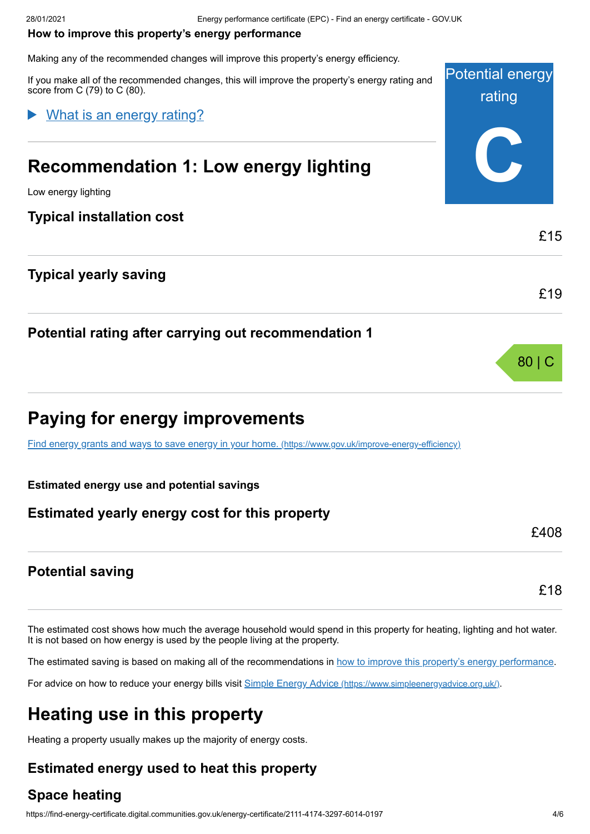#### <span id="page-3-0"></span>**How to improve this property's energy performance**

Making any of the recommended changes will improve this property's energy efficiency.

Potential energy rating **C** If you make all of the recommended changes, this will improve the property's energy rating and score from C (79) to C (80). **Recommendation 1: Low energy lighting** Low energy lighting **Typical installation cost** £15 What is an energy rating?

## **Typical yearly saving**

## **Potential rating after carrying out recommendation 1**

# **Paying for energy improvements**

[Find energy grants and ways to save energy in your home.](https://www.gov.uk/improve-energy-efficiency) (https://www.gov.uk/improve-energy-efficiency)

#### **Estimated energy use and potential savings**

## **Estimated yearly energy cost for this property**

## **Potential saving**

The estimated cost shows how much the average household would spend in this property for heating, lighting and hot water. It is not based on how energy is used by the people living at the property.

The estimated saving is based on making all of the recommendations in [how to improve this property's energy performance.](#page-3-0)

For advice on how to reduce your energy bills visit Simple Energy Advice [\(https://www.simpleenergyadvice.org.uk/\)](https://www.simpleenergyadvice.org.uk/).

# **Heating use in this property**

Heating a property usually makes up the majority of energy costs.

## **Estimated energy used to heat this property**

## **Space heating**

£19

80 | C

£408

£18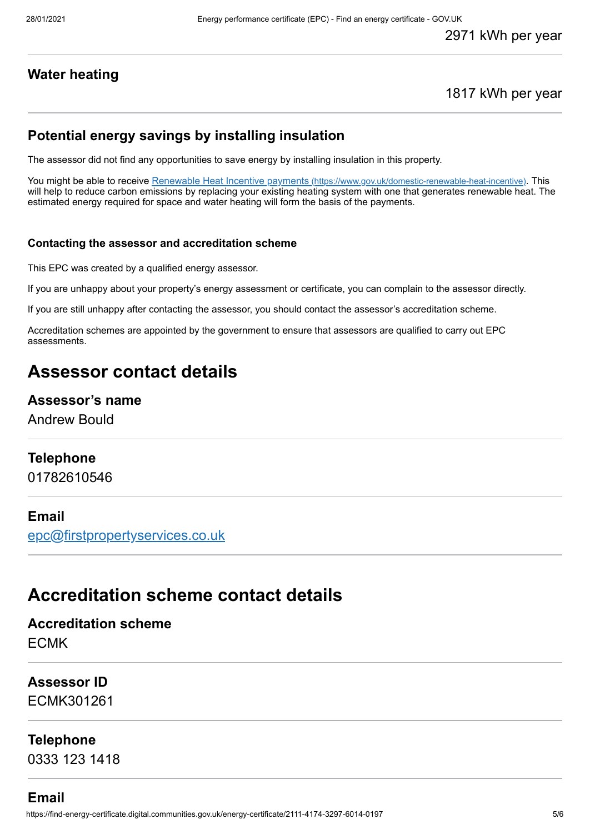## **Water heating**

#### 1817 kWh per year

#### **Potential energy savings by installing insulation**

The assessor did not find any opportunities to save energy by installing insulation in this property.

You might be able to receive Renewable Heat Incentive payments [\(https://www.gov.uk/domestic-renewable-heat-incentive\)](https://www.gov.uk/domestic-renewable-heat-incentive). This will help to reduce carbon emissions by replacing your existing heating system with one that generates renewable heat. The estimated energy required for space and water heating will form the basis of the payments.

#### **Contacting the assessor and accreditation scheme**

This EPC was created by a qualified energy assessor.

If you are unhappy about your property's energy assessment or certificate, you can complain to the assessor directly.

If you are still unhappy after contacting the assessor, you should contact the assessor's accreditation scheme.

Accreditation schemes are appointed by the government to ensure that assessors are qualified to carry out EPC assessments.

## **Assessor contact details**

#### **Assessor's name**

Andrew Bould

#### **Telephone**

01782610546

#### **Email**

[epc@firstpropertyservices.co.uk](mailto:epc@firstpropertyservices.co.uk)

## **Accreditation scheme contact details**

**Accreditation scheme** ECMK

## **Assessor ID** ECMK301261

**Telephone**

0333 123 1418